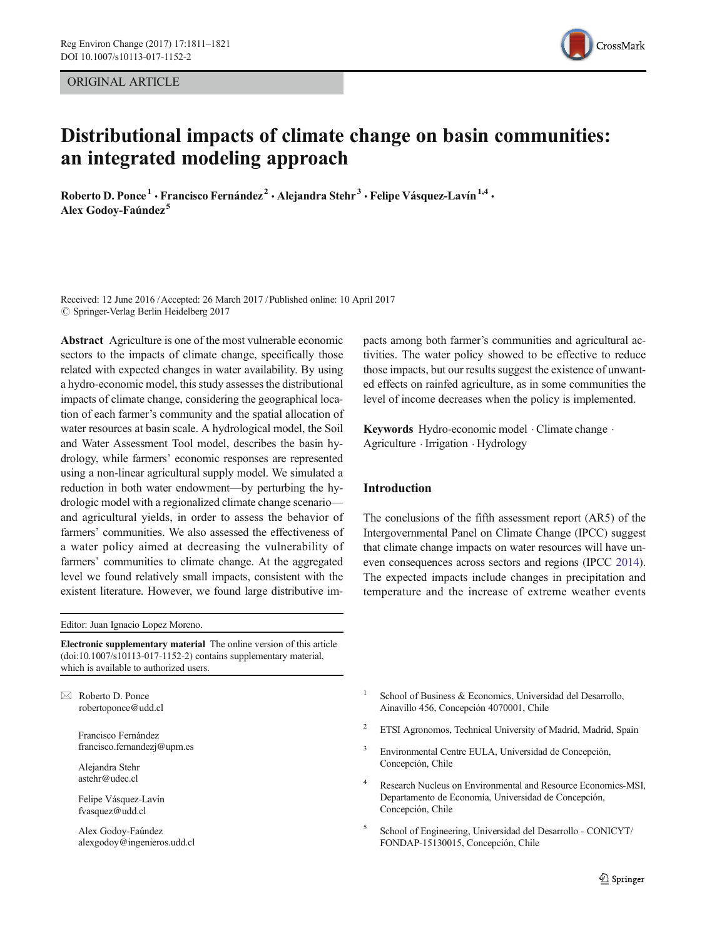ORIGINAL ARTICLE



# Distributional impacts of climate change on basin communities: an integrated modeling approach

Roberto D. Ponce<sup>1</sup> · Francisco Fernández<sup>2</sup> · Alejandra Stehr<sup>3</sup> · Felipe Vásquez-Lavín<sup>1,4</sup> · Alex Godoy-Faúndez<sup>5</sup>

Received: 12 June 2016 /Accepted: 26 March 2017 / Published online: 10 April 2017  $\oslash$  Springer-Verlag Berlin Heidelberg 2017

Abstract Agriculture is one of the most vulnerable economic sectors to the impacts of climate change, specifically those related with expected changes in water availability. By using a hydro-economic model, this study assesses the distributional impacts of climate change, considering the geographical location of each farmer's community and the spatial allocation of water resources at basin scale. A hydrological model, the Soil and Water Assessment Tool model, describes the basin hydrology, while farmers' economic responses are represented using a non-linear agricultural supply model. We simulated a reduction in both water endowment—by perturbing the hydrologic model with a regionalized climate change scenario and agricultural yields, in order to assess the behavior of farmers' communities. We also assessed the effectiveness of a water policy aimed at decreasing the vulnerability of farmers' communities to climate change. At the aggregated level we found relatively small impacts, consistent with the existent literature. However, we found large distributive im-

Editor: Juan Ignacio Lopez Moreno.

Electronic supplementary material The online version of this article (doi[:10.1007/s10113-017-1152-2\)](http://dx.doi.org/10.1007/s10113-017-1152-2) contains supplementary material, which is available to authorized users.

 $\boxtimes$  Roberto D. Ponce robertoponce@udd.cl

> Francisco Fernández francisco.fernandezj@upm.es

Alejandra Stehr astehr@udec.cl

Felipe Vásquez-Lavín fvasquez@udd.cl

Alex Godoy-Faúndez alexgodoy@ingenieros.udd.cl pacts among both farmer's communities and agricultural activities. The water policy showed to be effective to reduce those impacts, but our results suggest the existence of unwanted effects on rainfed agriculture, as in some communities the level of income decreases when the policy is implemented.

Keywords Hydro-economic model . Climate change . Agriculture . Irrigation . Hydrology

## Introduction

The conclusions of the fifth assessment report (AR5) of the Intergovernmental Panel on Climate Change (IPCC) suggest that climate change impacts on water resources will have uneven consequences across sectors and regions (IPCC [2014\)](#page-9-0). The expected impacts include changes in precipitation and temperature and the increase of extreme weather events

- School of Business & Economics, Universidad del Desarrollo, Ainavillo 456, Concepción 4070001, Chile
- <sup>2</sup> ETSI Agronomos, Technical University of Madrid, Madrid, Spain
- Environmental Centre EULA, Universidad de Concepción, Concepción, Chile
- <sup>4</sup> Research Nucleus on Environmental and Resource Economics-MSI, Departamento de Economía, Universidad de Concepción, Concepción, Chile
- <sup>5</sup> School of Engineering, Universidad del Desarrollo CONICYT/ FONDAP-15130015, Concepción, Chile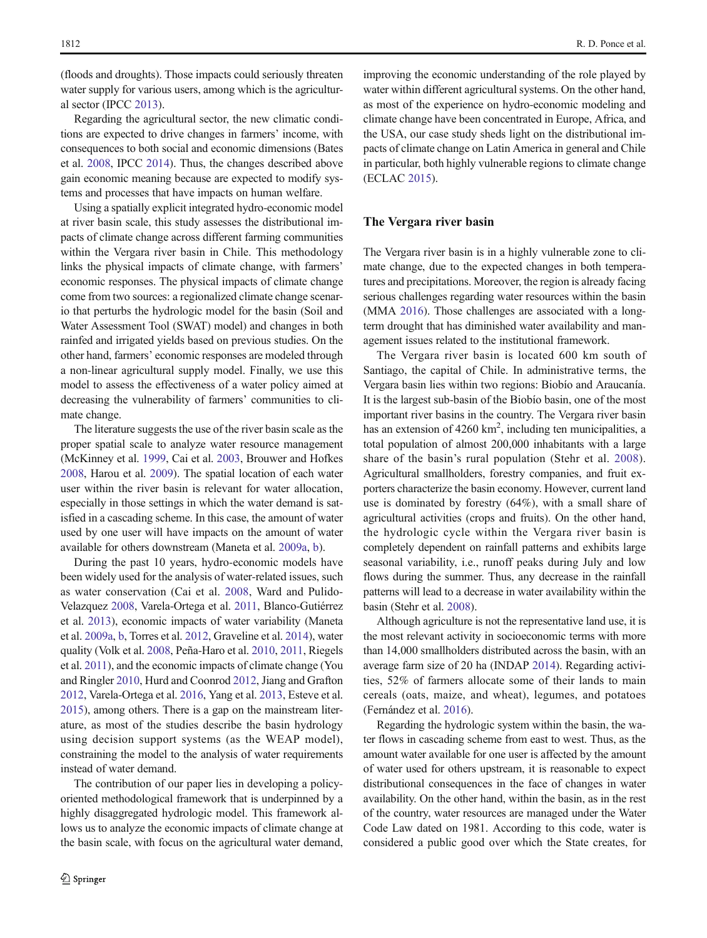(floods and droughts). Those impacts could seriously threaten water supply for various users, among which is the agricultural sector (IPCC [2013](#page-9-0)).

Regarding the agricultural sector, the new climatic conditions are expected to drive changes in farmers' income, with consequences to both social and economic dimensions (Bates et al. [2008,](#page-8-0) IPCC [2014\)](#page-9-0). Thus, the changes described above gain economic meaning because are expected to modify systems and processes that have impacts on human welfare.

Using a spatially explicit integrated hydro-economic model at river basin scale, this study assesses the distributional impacts of climate change across different farming communities within the Vergara river basin in Chile. This methodology links the physical impacts of climate change, with farmers' economic responses. The physical impacts of climate change come from two sources: a regionalized climate change scenario that perturbs the hydrologic model for the basin (Soil and Water Assessment Tool (SWAT) model) and changes in both rainfed and irrigated yields based on previous studies. On the other hand, farmers' economic responses are modeled through a non-linear agricultural supply model. Finally, we use this model to assess the effectiveness of a water policy aimed at decreasing the vulnerability of farmers' communities to climate change.

The literature suggests the use of the river basin scale as the proper spatial scale to analyze water resource management (McKinney et al. [1999,](#page-9-0) Cai et al. [2003](#page-9-0), Brouwer and Hofkes [2008,](#page-9-0) Harou et al. [2009\)](#page-9-0). The spatial location of each water user within the river basin is relevant for water allocation, especially in those settings in which the water demand is satisfied in a cascading scheme. In this case, the amount of water used by one user will have impacts on the amount of water available for others downstream (Maneta et al. [2009a,](#page-9-0) [b\)](#page-9-0).

During the past 10 years, hydro-economic models have been widely used for the analysis of water-related issues, such as water conservation (Cai et al. [2008,](#page-9-0) Ward and Pulido-Velazquez [2008](#page-10-0), Varela-Ortega et al. [2011,](#page-10-0) Blanco-Gutiérrez et al. [2013\)](#page-9-0), economic impacts of water variability (Maneta et al. [2009a](#page-9-0), [b,](#page-9-0) Torres et al. [2012,](#page-10-0) Graveline et al. [2014\)](#page-9-0), water quality (Volk et al. [2008,](#page-10-0) Peña-Haro et al. [2010,](#page-10-0) [2011,](#page-10-0) Riegels et al. [2011\)](#page-10-0), and the economic impacts of climate change (You and Ringler [2010,](#page-10-0) Hurd and Coonrod [2012](#page-9-0), Jiang and Grafton [2012,](#page-9-0) Varela-Ortega et al. [2016](#page-10-0), Yang et al. [2013](#page-10-0), Esteve et al. [2015\)](#page-9-0), among others. There is a gap on the mainstream literature, as most of the studies describe the basin hydrology using decision support systems (as the WEAP model), constraining the model to the analysis of water requirements instead of water demand.

The contribution of our paper lies in developing a policyoriented methodological framework that is underpinned by a highly disaggregated hydrologic model. This framework allows us to analyze the economic impacts of climate change at the basin scale, with focus on the agricultural water demand,

improving the economic understanding of the role played by water within different agricultural systems. On the other hand, as most of the experience on hydro-economic modeling and climate change have been concentrated in Europe, Africa, and the USA, our case study sheds light on the distributional impacts of climate change on Latin America in general and Chile in particular, both highly vulnerable regions to climate change (ECLAC [2015\)](#page-9-0).

## The Vergara river basin

The Vergara river basin is in a highly vulnerable zone to climate change, due to the expected changes in both temperatures and precipitations. Moreover, the region is already facing serious challenges regarding water resources within the basin (MMA [2016\)](#page-9-0). Those challenges are associated with a longterm drought that has diminished water availability and management issues related to the institutional framework.

The Vergara river basin is located 600 km south of Santiago, the capital of Chile. In administrative terms, the Vergara basin lies within two regions: Biobío and Araucanía. It is the largest sub-basin of the Biobío basin, one of the most important river basins in the country. The Vergara river basin has an extension of  $4260 \text{ km}^2$ , including ten municipalities, a total population of almost 200,000 inhabitants with a large share of the basin's rural population (Stehr et al. [2008](#page-10-0)). Agricultural smallholders, forestry companies, and fruit exporters characterize the basin economy. However, current land use is dominated by forestry (64%), with a small share of agricultural activities (crops and fruits). On the other hand, the hydrologic cycle within the Vergara river basin is completely dependent on rainfall patterns and exhibits large seasonal variability, i.e., runoff peaks during July and low flows during the summer. Thus, any decrease in the rainfall patterns will lead to a decrease in water availability within the basin (Stehr et al. [2008](#page-10-0)).

Although agriculture is not the representative land use, it is the most relevant activity in socioeconomic terms with more than 14,000 smallholders distributed across the basin, with an average farm size of 20 ha (INDAP [2014](#page-9-0)). Regarding activities, 52% of farmers allocate some of their lands to main cereals (oats, maize, and wheat), legumes, and potatoes (Fernández et al. [2016](#page-9-0)).

Regarding the hydrologic system within the basin, the water flows in cascading scheme from east to west. Thus, as the amount water available for one user is affected by the amount of water used for others upstream, it is reasonable to expect distributional consequences in the face of changes in water availability. On the other hand, within the basin, as in the rest of the country, water resources are managed under the Water Code Law dated on 1981. According to this code, water is considered a public good over which the State creates, for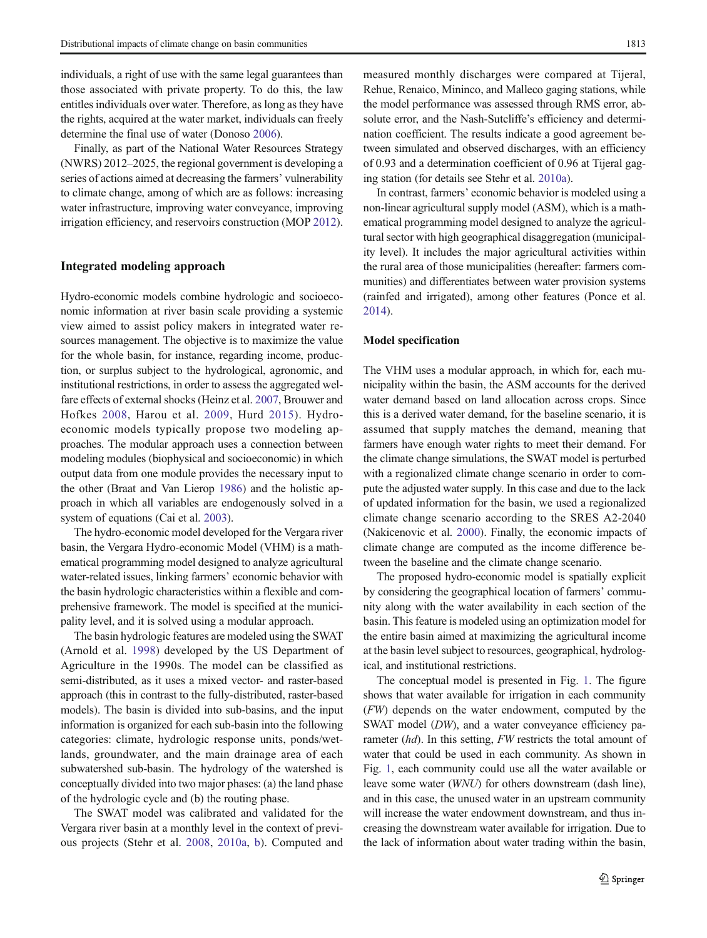individuals, a right of use with the same legal guarantees than those associated with private property. To do this, the law entitles individuals over water. Therefore, as long as they have the rights, acquired at the water market, individuals can freely determine the final use of water (Donoso [2006\)](#page-9-0).

Finally, as part of the National Water Resources Strategy (NWRS) 2012–2025, the regional government is developing a series of actions aimed at decreasing the farmers' vulnerability to climate change, among of which are as follows: increasing water infrastructure, improving water conveyance, improving irrigation efficiency, and reservoirs construction (MOP [2012\)](#page-9-0).

## Integrated modeling approach

Hydro-economic models combine hydrologic and socioeconomic information at river basin scale providing a systemic view aimed to assist policy makers in integrated water resources management. The objective is to maximize the value for the whole basin, for instance, regarding income, production, or surplus subject to the hydrological, agronomic, and institutional restrictions, in order to assess the aggregated welfare effects of external shocks (Heinz et al. [2007,](#page-9-0) Brouwer and Hofkes [2008](#page-9-0), Harou et al. [2009,](#page-9-0) Hurd [2015](#page-9-0)). Hydroeconomic models typically propose two modeling approaches. The modular approach uses a connection between modeling modules (biophysical and socioeconomic) in which output data from one module provides the necessary input to the other (Braat and Van Lierop [1986](#page-9-0)) and the holistic approach in which all variables are endogenously solved in a system of equations (Cai et al. [2003](#page-9-0)).

The hydro-economic model developed for the Vergara river basin, the Vergara Hydro-economic Model (VHM) is a mathematical programming model designed to analyze agricultural water-related issues, linking farmers' economic behavior with the basin hydrologic characteristics within a flexible and comprehensive framework. The model is specified at the municipality level, and it is solved using a modular approach.

The basin hydrologic features are modeled using the SWAT (Arnold et al. [1998](#page-8-0)) developed by the US Department of Agriculture in the 1990s. The model can be classified as semi-distributed, as it uses a mixed vector- and raster-based approach (this in contrast to the fully-distributed, raster-based models). The basin is divided into sub-basins, and the input information is organized for each sub-basin into the following categories: climate, hydrologic response units, ponds/wetlands, groundwater, and the main drainage area of each subwatershed sub-basin. The hydrology of the watershed is conceptually divided into two major phases: (a) the land phase of the hydrologic cycle and (b) the routing phase.

The SWAT model was calibrated and validated for the Vergara river basin at a monthly level in the context of previous projects (Stehr et al. [2008](#page-10-0), [2010a,](#page-10-0) [b](#page-10-0)). Computed and measured monthly discharges were compared at Tijeral, Rehue, Renaico, Mininco, and Malleco gaging stations, while the model performance was assessed through RMS error, absolute error, and the Nash-Sutcliffe's efficiency and determination coefficient. The results indicate a good agreement between simulated and observed discharges, with an efficiency of 0.93 and a determination coefficient of 0.96 at Tijeral gaging station (for details see Stehr et al. [2010a](#page-10-0)).

In contrast, farmers' economic behavior is modeled using a non-linear agricultural supply model (ASM), which is a mathematical programming model designed to analyze the agricultural sector with high geographical disaggregation (municipality level). It includes the major agricultural activities within the rural area of those municipalities (hereafter: farmers communities) and differentiates between water provision systems (rainfed and irrigated), among other features (Ponce et al. [2014\)](#page-10-0).

#### Model specification

The VHM uses a modular approach, in which for, each municipality within the basin, the ASM accounts for the derived water demand based on land allocation across crops. Since this is a derived water demand, for the baseline scenario, it is assumed that supply matches the demand, meaning that farmers have enough water rights to meet their demand. For the climate change simulations, the SWAT model is perturbed with a regionalized climate change scenario in order to compute the adjusted water supply. In this case and due to the lack of updated information for the basin, we used a regionalized climate change scenario according to the SRES A2-2040 (Nakicenovic et al. [2000\)](#page-9-0). Finally, the economic impacts of climate change are computed as the income difference between the baseline and the climate change scenario.

The proposed hydro-economic model is spatially explicit by considering the geographical location of farmers' community along with the water availability in each section of the basin. This feature is modeled using an optimization model for the entire basin aimed at maximizing the agricultural income at the basin level subject to resources, geographical, hydrological, and institutional restrictions.

The conceptual model is presented in Fig. [1](#page-3-0). The figure shows that water available for irrigation in each community (FW) depends on the water endowment, computed by the SWAT model (DW), and a water conveyance efficiency parameter (hd). In this setting, FW restricts the total amount of water that could be used in each community. As shown in Fig. [1,](#page-3-0) each community could use all the water available or leave some water (WNU) for others downstream (dash line), and in this case, the unused water in an upstream community will increase the water endowment downstream, and thus increasing the downstream water available for irrigation. Due to the lack of information about water trading within the basin,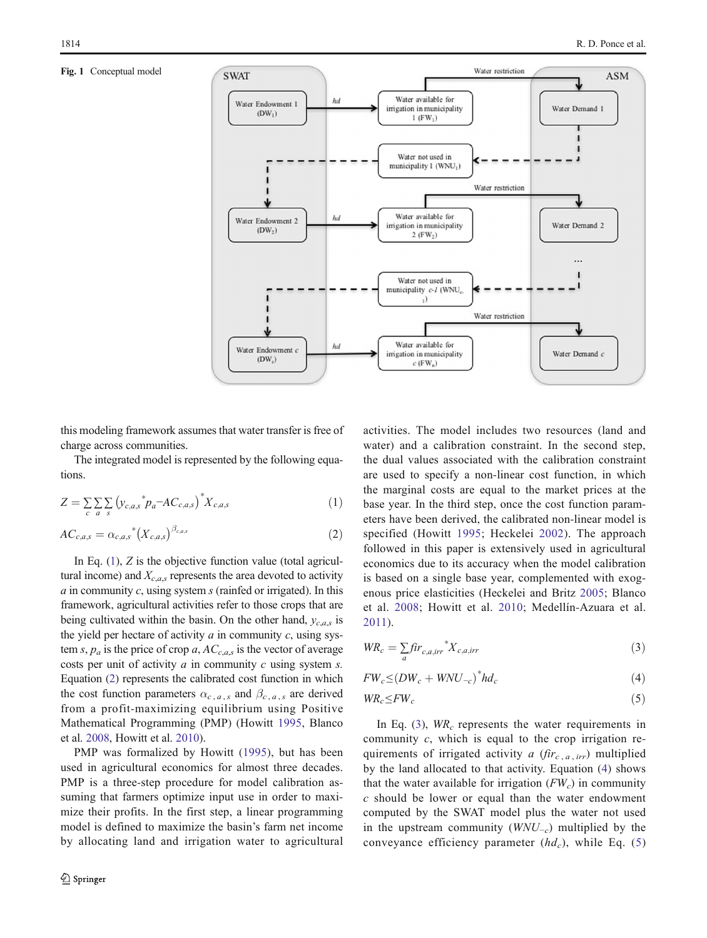#### <span id="page-3-0"></span>Fig. 1 Conceptual model



this modeling framework assumes that water transfer is free of charge across communities.

The integrated model is represented by the following equations.

$$
Z = \sum_{c} \sum_{a} \sum_{s} \left( y_{c,a,s}^* p_a - AC_{c,a,s} \right)^* X_{c,a,s} \tag{1}
$$

$$
AC_{c,a,s} = \alpha_{c,a,s}^* \left( X_{c,a,s} \right)^{\beta_{c,a,s}} \tag{2}
$$

In Eq.  $(1)$ , Z is the objective function value (total agricultural income) and  $X_{c,as}$  represents the area devoted to activity  $a$  in community  $c$ , using system  $s$  (rainfed or irrigated). In this framework, agricultural activities refer to those crops that are being cultivated within the basin. On the other hand,  $y_{c,a,s}$  is the yield per hectare of activity  $a$  in community  $c$ , using system s,  $p_a$  is the price of crop a,  $AC_{c,a,s}$  is the vector of average costs per unit of activity  $a$  in community  $c$  using system  $s$ . Equation (2) represents the calibrated cost function in which the cost function parameters  $\alpha_{c,a,s}$  and  $\beta_{c,a,s}$  are derived from a profit-maximizing equilibrium using Positive Mathematical Programming (PMP) (Howitt [1995](#page-9-0), Blanco et al. [2008](#page-9-0), Howitt et al. [2010\)](#page-9-0).

PMP was formalized by Howitt ([1995\)](#page-9-0), but has been used in agricultural economics for almost three decades. PMP is a three-step procedure for model calibration assuming that farmers optimize input use in order to maximize their profits. In the first step, a linear programming model is defined to maximize the basin's farm net income by allocating land and irrigation water to agricultural activities. The model includes two resources (land and water) and a calibration constraint. In the second step, the dual values associated with the calibration constraint are used to specify a non-linear cost function, in which the marginal costs are equal to the market prices at the base year. In the third step, once the cost function parameters have been derived, the calibrated non-linear model is specified (Howitt [1995;](#page-9-0) Heckelei [2002](#page-9-0)). The approach followed in this paper is extensively used in agricultural economics due to its accuracy when the model calibration is based on a single base year, complemented with exogenous price elasticities (Heckelei and Britz [2005](#page-9-0); Blanco et al. [2008](#page-9-0); Howitt et al. [2010;](#page-9-0) Medellín-Azuara et al. [2011](#page-9-0)).

$$
WR_c = \sum_{a} \hat{f}ir_{c,a,irr} \,^* X_{c,a,irr} \tag{3}
$$

$$
FW_c \le (DW_c + WNU_{-c})^* h d_c \tag{4}
$$

$$
WR_c \leq FW_c \tag{5}
$$

In Eq. (3),  $WR_c$  represents the water requirements in community  $c$ , which is equal to the crop irrigation requirements of irrigated activity a  $(fir_{c, a, irr})$  multiplied by the land allocated to that activity. Equation (4) shows that the water available for irrigation  $(FW_c)$  in community c should be lower or equal than the water endowment computed by the SWAT model plus the water not used in the upstream community  $(WNU_{-c})$  multiplied by the conveyance efficiency parameter  $(hd_c)$ , while Eq. (5)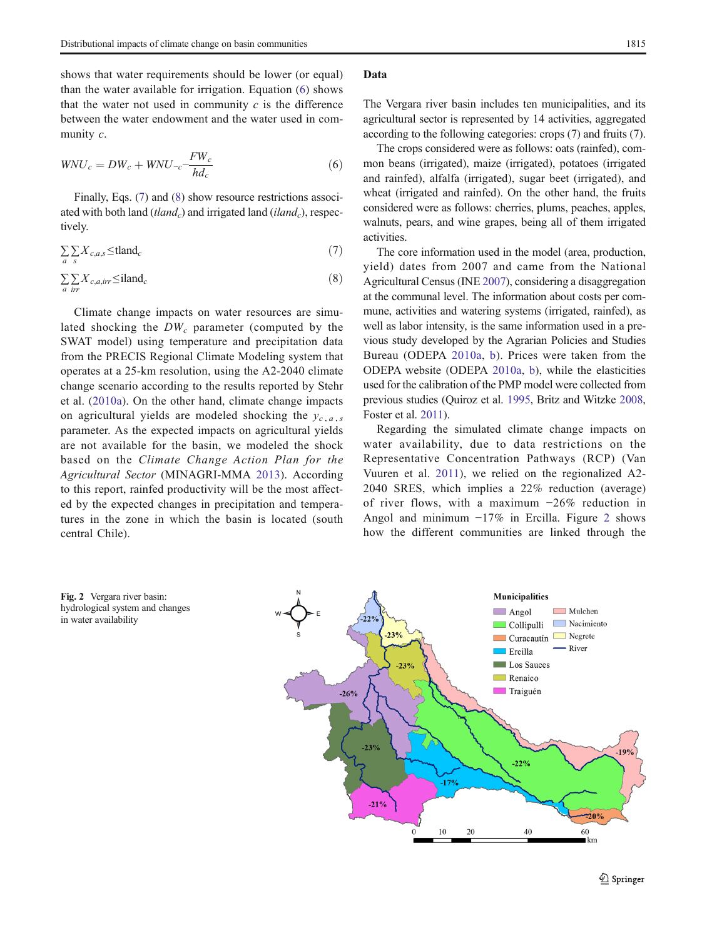shows that water requirements should be lower (or equal) than the water available for irrigation. Equation (6) shows that the water not used in community  $c$  is the difference between the water endowment and the water used in community c.

$$
WNU_c = DW_c + WNU_{-c} - \frac{FW_c}{hd_c} \tag{6}
$$

Finally, Eqs. (7) and (8) show resource restrictions associated with both land (tland<sub>c</sub>) and irrigated land (iland<sub>c</sub>), respectively.

$$
\sum_{a} \sum_{s} X_{c,a,s} \leq \text{tland}_c \tag{7}
$$

$$
\sum_{a} \sum_{irr} X_{c,a,irr} \le \text{iland}_c \tag{8}
$$

Climate change impacts on water resources are simulated shocking the  $DW_c$  parameter (computed by the SWAT model) using temperature and precipitation data from the PRECIS Regional Climate Modeling system that operates at a 25-km resolution, using the A2-2040 climate change scenario according to the results reported by Stehr et al. ([2010a\)](#page-10-0). On the other hand, climate change impacts on agricultural yields are modeled shocking the  $y_{c, a, s}$ parameter. As the expected impacts on agricultural yields are not available for the basin, we modeled the shock based on the Climate Change Action Plan for the Agricultural Sector (MINAGRI-MMA [2013](#page-9-0)). According to this report, rainfed productivity will be the most affected by the expected changes in precipitation and temperatures in the zone in which the basin is located (south central Chile).

The Vergara river basin includes ten municipalities, and its agricultural sector is represented by 14 activities, aggregated according to the following categories: crops (7) and fruits (7).

The crops considered were as follows: oats (rainfed), common beans (irrigated), maize (irrigated), potatoes (irrigated and rainfed), alfalfa (irrigated), sugar beet (irrigated), and wheat (irrigated and rainfed). On the other hand, the fruits considered were as follows: cherries, plums, peaches, apples, walnuts, pears, and wine grapes, being all of them irrigated activities.

The core information used in the model (area, production, yield) dates from 2007 and came from the National Agricultural Census (INE [2007](#page-9-0)), considering a disaggregation at the communal level. The information about costs per commune, activities and watering systems (irrigated, rainfed), as well as labor intensity, is the same information used in a previous study developed by the Agrarian Policies and Studies Bureau (ODEPA [2010a](#page-10-0), [b\)](#page-10-0). Prices were taken from the ODEPA website (ODEPA [2010a,](#page-10-0) [b](#page-10-0)), while the elasticities used for the calibration of the PMP model were collected from previous studies (Quiroz et al. [1995,](#page-10-0) Britz and Witzke [2008,](#page-9-0) Foster et al. [2011\)](#page-9-0).

Regarding the simulated climate change impacts on water availability, due to data restrictions on the Representative Concentration Pathways (RCP) (Van Vuuren et al. [2011](#page-10-0)), we relied on the regionalized A2- 2040 SRES, which implies a 22% reduction (average) of river flows, with a maximum −26% reduction in Angol and minimum −17% in Ercilla. Figure 2 shows how the different communities are linked through the



Fig. 2 Vergara river basin: hydrological system and changes in water availability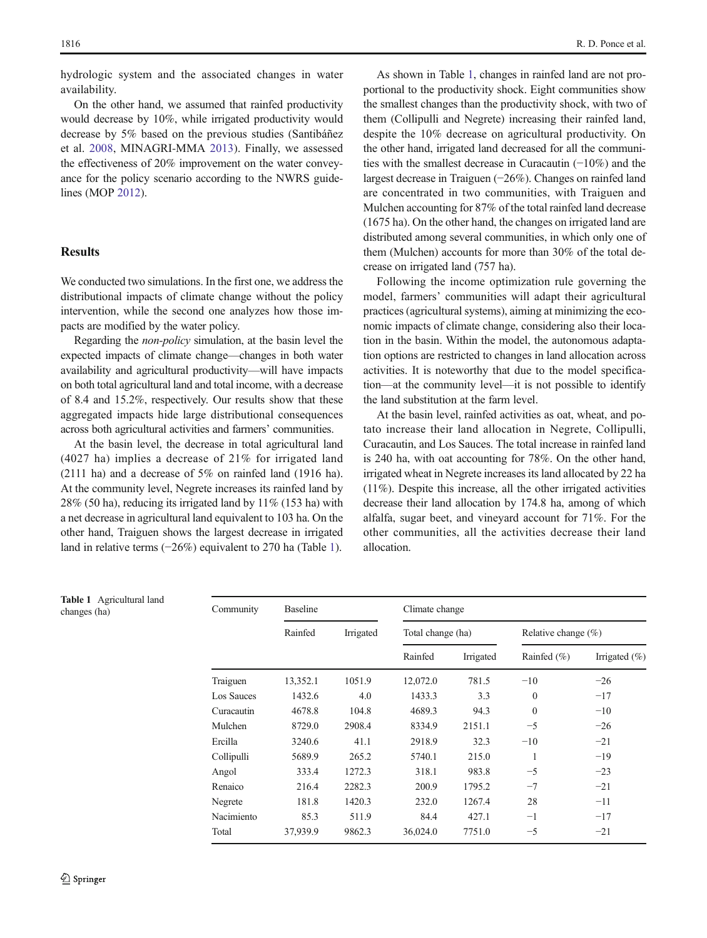hydrologic system and the associated changes in water availability.

On the other hand, we assumed that rainfed productivity would decrease by 10%, while irrigated productivity would decrease by 5% based on the previous studies (Santibáñez et al. [2008](#page-10-0), MINAGRI-MMA [2013](#page-9-0)). Finally, we assessed the effectiveness of 20% improvement on the water conveyance for the policy scenario according to the NWRS guidelines (MOP [2012](#page-9-0)).

# **Results**

We conducted two simulations. In the first one, we address the distributional impacts of climate change without the policy intervention, while the second one analyzes how those impacts are modified by the water policy.

Regarding the non-policy simulation, at the basin level the expected impacts of climate change—changes in both water availability and agricultural productivity—will have impacts on both total agricultural land and total income, with a decrease of 8.4 and 15.2%, respectively. Our results show that these aggregated impacts hide large distributional consequences across both agricultural activities and farmers' communities.

At the basin level, the decrease in total agricultural land (4027 ha) implies a decrease of 21% for irrigated land (2111 ha) and a decrease of 5% on rainfed land (1916 ha). At the community level, Negrete increases its rainfed land by  $28\%$  (50 ha), reducing its irrigated land by  $11\%$  (153 ha) with a net decrease in agricultural land equivalent to 103 ha. On the other hand, Traiguen shows the largest decrease in irrigated land in relative terms (−26%) equivalent to 270 ha (Table 1).

As shown in Table 1, changes in rainfed land are not proportional to the productivity shock. Eight communities show the smallest changes than the productivity shock, with two of them (Collipulli and Negrete) increasing their rainfed land, despite the 10% decrease on agricultural productivity. On the other hand, irrigated land decreased for all the communities with the smallest decrease in Curacautin (−10%) and the largest decrease in Traiguen (−26%). Changes on rainfed land are concentrated in two communities, with Traiguen and Mulchen accounting for 87% of the total rainfed land decrease (1675 ha). On the other hand, the changes on irrigated land are distributed among several communities, in which only one of them (Mulchen) accounts for more than 30% of the total decrease on irrigated land (757 ha).

Following the income optimization rule governing the model, farmers' communities will adapt their agricultural practices (agricultural systems), aiming at minimizing the economic impacts of climate change, considering also their location in the basin. Within the model, the autonomous adaptation options are restricted to changes in land allocation across activities. It is noteworthy that due to the model specification—at the community level—it is not possible to identify the land substitution at the farm level.

At the basin level, rainfed activities as oat, wheat, and potato increase their land allocation in Negrete, Collipulli, Curacautin, and Los Sauces. The total increase in rainfed land is 240 ha, with oat accounting for 78%. On the other hand, irrigated wheat in Negrete increases its land allocated by 22 ha (11%). Despite this increase, all the other irrigated activities decrease their land allocation by 174.8 ha, among of which alfalfa, sugar beet, and vineyard account for 71%. For the other communities, all the activities decrease their land allocation.

| Community  | <b>Baseline</b> |           | Climate change    |           |                         |                   |
|------------|-----------------|-----------|-------------------|-----------|-------------------------|-------------------|
|            | Rainfed         | Irrigated | Total change (ha) |           | Relative change $(\% )$ |                   |
|            |                 |           | Rainfed           | Irrigated | Rainfed $(\%)$          | Irrigated $(\% )$ |
| Traiguen   | 13,352.1        | 1051.9    | 12,072.0          | 781.5     | $-10$                   | $-26$             |
| Los Sauces | 1432.6          | 4.0       | 1433.3            | 3.3       | $\mathbf{0}$            | $-17$             |
| Curacautin | 4678.8          | 104.8     | 4689.3            | 94.3      | $\mathbf{0}$            | $-10$             |
| Mulchen    | 8729.0          | 2908.4    | 8334.9            | 2151.1    | $-5$                    | $-26$             |
| Ercilla    | 3240.6          | 41.1      | 2918.9            | 32.3      | $-10$                   | $-21$             |
| Collipulli | 5689.9          | 265.2     | 5740.1            | 215.0     | 1                       | $-19$             |
| Angol      | 333.4           | 1272.3    | 318.1             | 983.8     | $-5$                    | $-23$             |
| Renaico    | 216.4           | 2282.3    | 200.9             | 1795.2    | $-7$                    | $-21$             |
| Negrete    | 181.8           | 1420.3    | 232.0             | 1267.4    | 28                      | $-11$             |
| Nacimiento | 85.3            | 511.9     | 84.4              | 427.1     | $-1$                    | $-17$             |
| Total      | 37,939.9        | 9862.3    | 36,024.0          | 7751.0    | $-5$                    | $-21$             |

Table 1 Agricultural land changes (ha)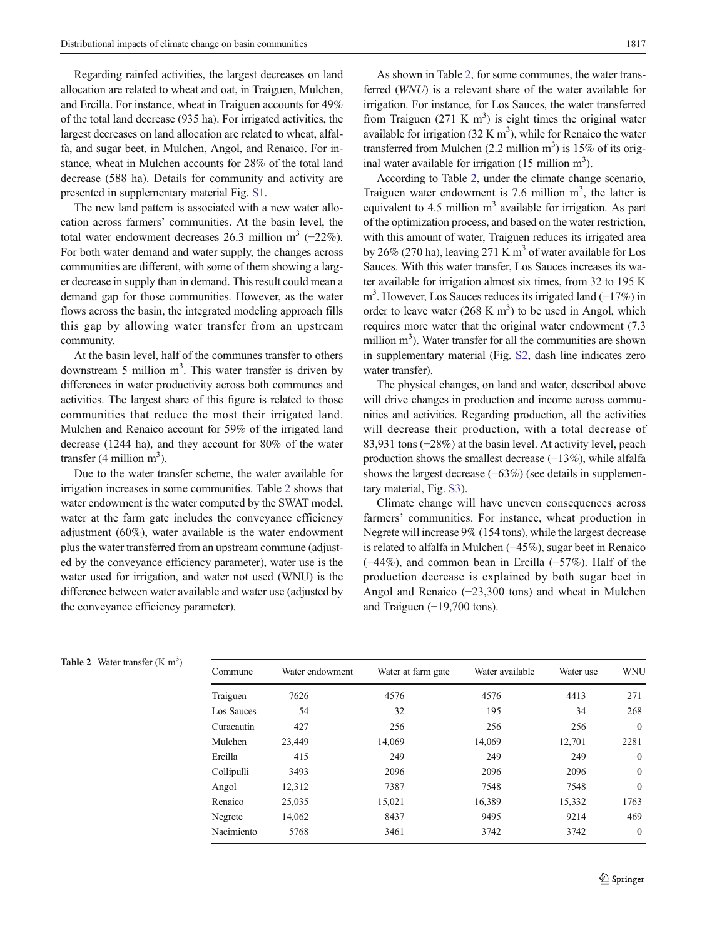Regarding rainfed activities, the largest decreases on land allocation are related to wheat and oat, in Traiguen, Mulchen, and Ercilla. For instance, wheat in Traiguen accounts for 49% of the total land decrease (935 ha). For irrigated activities, the largest decreases on land allocation are related to wheat, alfalfa, and sugar beet, in Mulchen, Angol, and Renaico. For instance, wheat in Mulchen accounts for 28% of the total land decrease (588 ha). Details for community and activity are presented in supplementary material Fig. S1.

The new land pattern is associated with a new water allocation across farmers' communities. At the basin level, the total water endowment decreases 26.3 million m<sup>3</sup> (−22%). For both water demand and water supply, the changes across communities are different, with some of them showing a larger decrease in supply than in demand. This result could mean a demand gap for those communities. However, as the water flows across the basin, the integrated modeling approach fills this gap by allowing water transfer from an upstream community.

At the basin level, half of the communes transfer to others downstream 5 million  $m<sup>3</sup>$ . This water transfer is driven by differences in water productivity across both communes and activities. The largest share of this figure is related to those communities that reduce the most their irrigated land. Mulchen and Renaico account for 59% of the irrigated land decrease (1244 ha), and they account for 80% of the water transfer  $(4 \text{ million m}^3)$ .

Due to the water transfer scheme, the water available for irrigation increases in some communities. Table 2 shows that water endowment is the water computed by the SWAT model, water at the farm gate includes the conveyance efficiency adjustment (60%), water available is the water endowment plus the water transferred from an upstream commune (adjusted by the conveyance efficiency parameter), water use is the water used for irrigation, and water not used (WNU) is the difference between water available and water use (adjusted by the conveyance efficiency parameter).

As shown in Table 2, for some communes, the water transferred (WNU) is a relevant share of the water available for irrigation. For instance, for Los Sauces, the water transferred from Traiguen  $(271 \text{ K m}^3)$  is eight times the original water available for irrigation  $(32 \text{ K m}^3)$ , while for Renaico the water transferred from Mulchen  $(2.2 \text{ million m}^3)$  is 15% of its original water available for irrigation  $(15 \text{ million m}^3)$ .

According to Table 2, under the climate change scenario, Traiguen water endowment is 7.6 million  $m<sup>3</sup>$ , the latter is equivalent to 4.5 million  $m<sup>3</sup>$  available for irrigation. As part of the optimization process, and based on the water restriction, with this amount of water, Traiguen reduces its irrigated area by 26% (270 ha), leaving 271 K  $m<sup>3</sup>$  of water available for Los Sauces. With this water transfer, Los Sauces increases its water available for irrigation almost six times, from 32 to 195 K m<sup>3</sup>. However, Los Sauces reduces its irrigated land (−17%) in order to leave water  $(268 \text{ K m}^3)$  to be used in Angol, which requires more water that the original water endowment (7.3 million  $m<sup>3</sup>$ ). Water transfer for all the communities are shown in supplementary material (Fig. S2, dash line indicates zero water transfer).

The physical changes, on land and water, described above will drive changes in production and income across communities and activities. Regarding production, all the activities will decrease their production, with a total decrease of 83,931 tons (−28%) at the basin level. At activity level, peach production shows the smallest decrease (−13%), while alfalfa shows the largest decrease (−63%) (see details in supplementary material, Fig. S3).

Climate change will have uneven consequences across farmers' communities. For instance, wheat production in Negrete will increase 9% (154 tons), while the largest decrease is related to alfalfa in Mulchen (−45%), sugar beet in Renaico (−44%), and common bean in Ercilla (−57%). Half of the production decrease is explained by both sugar beet in Angol and Renaico (−23,300 tons) and wheat in Mulchen and Traiguen (−19,700 tons).

| <b>Table 2</b> Water transfer $(K m3)$ |  |  |  |  |
|----------------------------------------|--|--|--|--|
|----------------------------------------|--|--|--|--|

| Commune           | Water endowment | Water at farm gate | Water available | Water use | <b>WNU</b>   |
|-------------------|-----------------|--------------------|-----------------|-----------|--------------|
| Traiguen          | 7626            | 4576               | 4576            | 4413      | 271          |
| <b>Los Sauces</b> | 54              | 32                 | 195             | 34        | 268          |
| Curacautin        | 427             | 256                | 256             | 256       | $\mathbf{0}$ |
| Mulchen           | 23.449          | 14,069             | 14,069          | 12.701    | 2281         |
| Ercilla           | 415             | 249                | 249             | 249       | $\mathbf{0}$ |
| Collipulli        | 3493            | 2096               | 2096            | 2096      | $\mathbf{0}$ |
| Angol             | 12,312          | 7387               | 7548            | 7548      | $\Omega$     |
| Renaico           | 25,035          | 15,021             | 16,389          | 15,332    | 1763         |
| Negrete           | 14,062          | 8437               | 9495            | 9214      | 469          |
| Nacimiento        | 5768            | 3461               | 3742            | 3742      | $\Omega$     |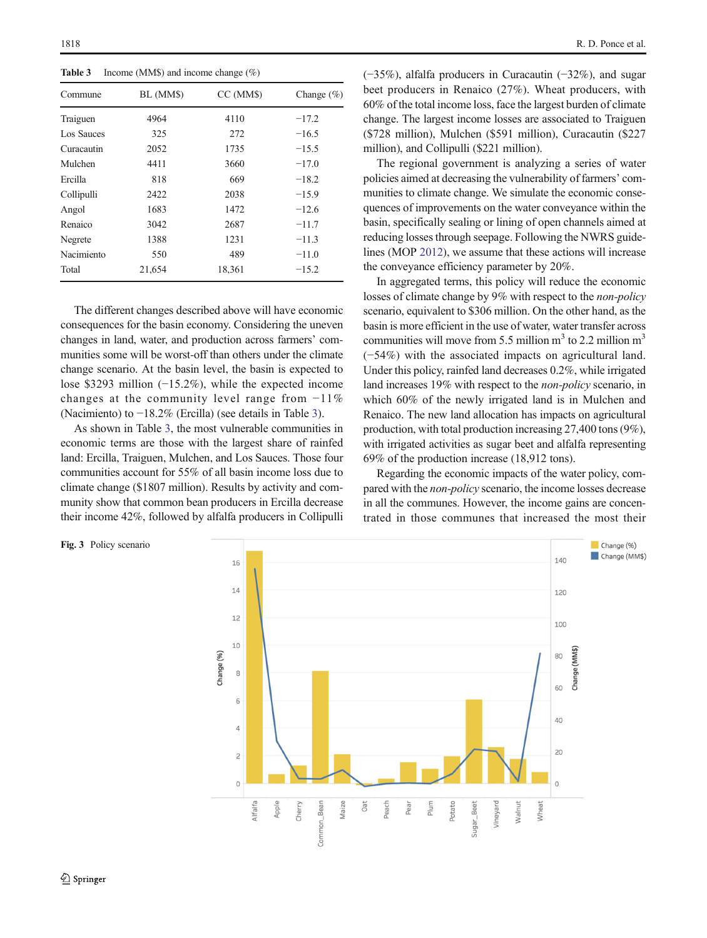<span id="page-7-0"></span>

| Income (MM\$) and income change $(\%)$<br>Table 3 |           |           |               |  |  |
|---------------------------------------------------|-----------|-----------|---------------|--|--|
| Commune                                           | BL (MM\$) | CC (MM\$) | Change $(\%)$ |  |  |
| Traiguen                                          | 4964      | 4110      | $-17.2$       |  |  |
| Los Sauces                                        | 325       | 272       | $-16.5$       |  |  |
| Curacautin                                        | 2052      | 1735      | $-15.5$       |  |  |
| Mulchen                                           | 4411      | 3660      | $-17.0$       |  |  |
| Ercilla                                           | 818       | 669       | $-18.2$       |  |  |
| Collipulli                                        | 2422      | 2038      | $-15.9$       |  |  |
| Angol                                             | 1683      | 1472      | $-12.6$       |  |  |
| Renaico                                           | 3042      | 2687      | $-11.7$       |  |  |
| Negrete                                           | 1388      | 1231      | $-11.3$       |  |  |
| Nacimiento                                        | 550       | 489       | $-11.0$       |  |  |
| Total                                             | 21.654    | 18.361    | $-15.2$       |  |  |

The different changes described above will have economic consequences for the basin economy. Considering the uneven changes in land, water, and production across farmers' communities some will be worst-off than others under the climate change scenario. At the basin level, the basin is expected to lose \$3293 million (−15.2%), while the expected income changes at the community level range from −11% (Nacimiento) to −18.2% (Ercilla) (see details in Table 3).

As shown in Table 3, the most vulnerable communities in economic terms are those with the largest share of rainfed land: Ercilla, Traiguen, Mulchen, and Los Sauces. Those four communities account for 55% of all basin income loss due to climate change (\$1807 million). Results by activity and community show that common bean producers in Ercilla decrease their income 42%, followed by alfalfa producers in Collipulli

#### Fig. 3 Policy scenario

(−35%), alfalfa producers in Curacautin (−32%), and sugar beet producers in Renaico (27%). Wheat producers, with 60% of the total income loss, face the largest burden of climate change. The largest income losses are associated to Traiguen (\$728 million), Mulchen (\$591 million), Curacautin (\$227 million), and Collipulli (\$221 million).

The regional government is analyzing a series of water policies aimed at decreasing the vulnerability of farmers' communities to climate change. We simulate the economic consequences of improvements on the water conveyance within the basin, specifically sealing or lining of open channels aimed at reducing losses through seepage. Following the NWRS guidelines (MOP [2012](#page-9-0)), we assume that these actions will increase the conveyance efficiency parameter by 20%.

In aggregated terms, this policy will reduce the economic losses of climate change by 9% with respect to the non-policy scenario, equivalent to \$306 million. On the other hand, as the basin is more efficient in the use of water, water transfer across communities will move from 5.5 million  $m<sup>3</sup>$  to 2.2 million  $m<sup>3</sup>$ (−54%) with the associated impacts on agricultural land. Under this policy, rainfed land decreases 0.2%, while irrigated land increases 19% with respect to the non-policy scenario, in which 60% of the newly irrigated land is in Mulchen and Renaico. The new land allocation has impacts on agricultural production, with total production increasing 27,400 tons (9%), with irrigated activities as sugar beet and alfalfa representing 69% of the production increase (18,912 tons).

Regarding the economic impacts of the water policy, compared with the non-policy scenario, the income losses decrease in all the communes. However, the income gains are concentrated in those communes that increased the most their

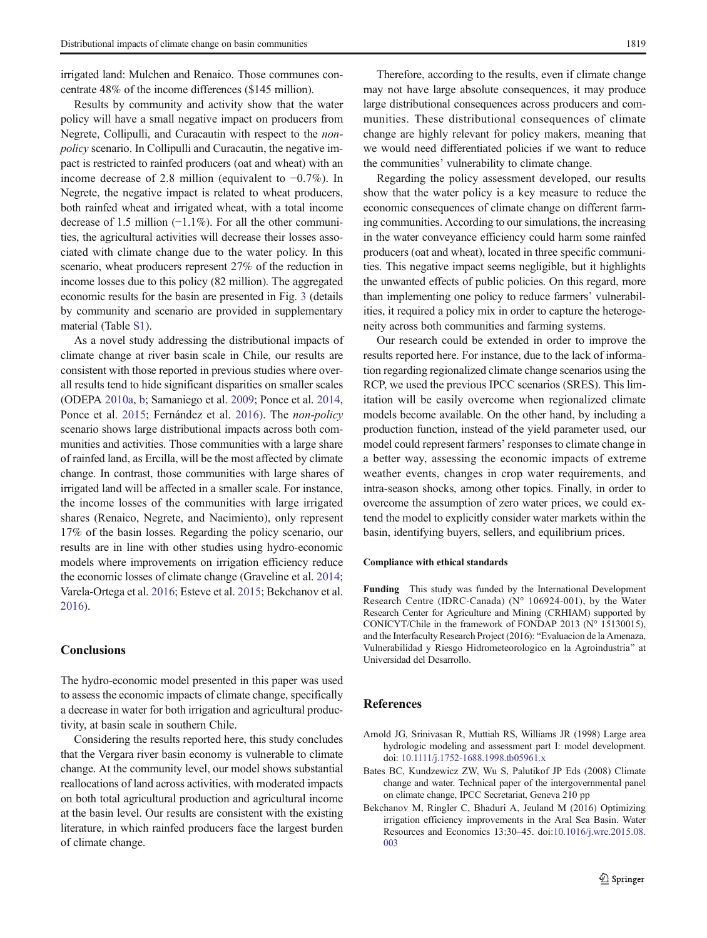<span id="page-8-0"></span>irrigated land: Mulchen and Renaico. Those communes concentrate 48% of the income differences (\$145 million).

Results by community and activity show that the water policy will have a small negative impact on producers from Negrete, Collipulli, and Curacautin with respect to the nonpolicy scenario. In Collipulli and Curacautin, the negative impact is restricted to rainfed producers (oat and wheat) with an income decrease of 2.8 million (equivalent to −0.7%). In Negrete, the negative impact is related to wheat producers, both rainfed wheat and irrigated wheat, with a total income decrease of 1.5 million (−1.1%). For all the other communities, the agricultural activities will decrease their losses associated with climate change due to the water policy. In this scenario, wheat producers represent 27% of the reduction in income losses due to this policy (82 million). The aggregated economic results for the basin are presented in Fig. [3](#page-7-0) (details by community and scenario are provided in supplementary material (Table S1).

As a novel study addressing the distributional impacts of climate change at river basin scale in Chile, our results are consistent with those reported in previous studies where overall results tend to hide significant disparities on smaller scales (ODEPA [2010a](#page-10-0), [b](#page-10-0); Samaniego et al. [2009](#page-10-0); Ponce et al. [2014,](#page-10-0) Ponce et al. [2015;](#page-10-0) Fernández et al. [2016](#page-9-0)). The non-policy scenario shows large distributional impacts across both communities and activities. Those communities with a large share of rainfed land, as Ercilla, will be the most affected by climate change. In contrast, those communities with large shares of irrigated land will be affected in a smaller scale. For instance, the income losses of the communities with large irrigated shares (Renaico, Negrete, and Nacimiento), only represent 17% of the basin losses. Regarding the policy scenario, our results are in line with other studies using hydro-economic models where improvements on irrigation efficiency reduce the economic losses of climate change (Graveline et al. [2014](#page-9-0); Varela-Ortega et al. [2016](#page-10-0); Esteve et al. [2015;](#page-9-0) Bekchanov et al. 2016).

## **Conclusions**

The hydro-economic model presented in this paper was used to assess the economic impacts of climate change, specifically a decrease in water for both irrigation and agricultural productivity, at basin scale in southern Chile.

Considering the results reported here, this study concludes that the Vergara river basin economy is vulnerable to climate change. At the community level, our model shows substantial reallocations of land across activities, with moderated impacts on both total agricultural production and agricultural income at the basin level. Our results are consistent with the existing literature, in which rainfed producers face the largest burden of climate change.

Therefore, according to the results, even if climate change may not have large absolute consequences, it may produce large distributional consequences across producers and communities. These distributional consequences of climate change are highly relevant for policy makers, meaning that we would need differentiated policies if we want to reduce the communities' vulnerability to climate change.

Regarding the policy assessment developed, our results show that the water policy is a key measure to reduce the economic consequences of climate change on different farming communities. According to our simulations, the increasing in the water conveyance efficiency could harm some rainfed producers (oat and wheat), located in three specific communities. This negative impact seems negligible, but it highlights the unwanted effects of public policies. On this regard, more than implementing one policy to reduce farmers' vulnerabilities, it required a policy mix in order to capture the heterogeneity across both communities and farming systems.

Our research could be extended in order to improve the results reported here. For instance, due to the lack of information regarding regionalized climate change scenarios using the RCP, we used the previous IPCC scenarios (SRES). This limitation will be easily overcome when regionalized climate models become available. On the other hand, by including a production function, instead of the yield parameter used, our model could represent farmers' responses to climate change in a better way, assessing the economic impacts of extreme weather events, changes in crop water requirements, and intra-season shocks, among other topics. Finally, in order to overcome the assumption of zero water prices, we could extend the model to explicitly consider water markets within the basin, identifying buyers, sellers, and equilibrium prices.

#### Compliance with ethical standards

Funding This study was funded by the International Development Research Centre (IDRC-Canada) (N° 106924-001), by the Water Research Center for Agriculture and Mining (CRHIAM) supported by CONICYT/Chile in the framework of FONDAP 2013 (N° 15130015), and the Interfaculty Research Project (2016): "Evaluacion de la Amenaza, Vulnerabilidad y Riesgo Hidrometeorologico en la Agroindustria^ at Universidad del Desarrollo.

## **References**

- Arnold JG, Srinivasan R, Muttiah RS, Williams JR (1998) Large area hydrologic modeling and assessment part I: model development. doi: [10.1111/j.1752-1688.1998.tb05961.x](http://dx.doi.org/10.1111/j.1752-1688.1998.tb05961.x)
- Bates BC, Kundzewicz ZW, Wu S, Palutikof JP Eds (2008) Climate change and water. Technical paper of the intergovernmental panel on climate change, IPCC Secretariat, Geneva 210 pp
- Bekchanov M, Ringler C, Bhaduri A, Jeuland M (2016) Optimizing irrigation efficiency improvements in the Aral Sea Basin. Water Resources and Economics 13:30–45. doi[:10.1016/j.wre.2015.08.](http://dx.doi.org/10.1016/j.wre.2015.08.003) [003](http://dx.doi.org/10.1016/j.wre.2015.08.003)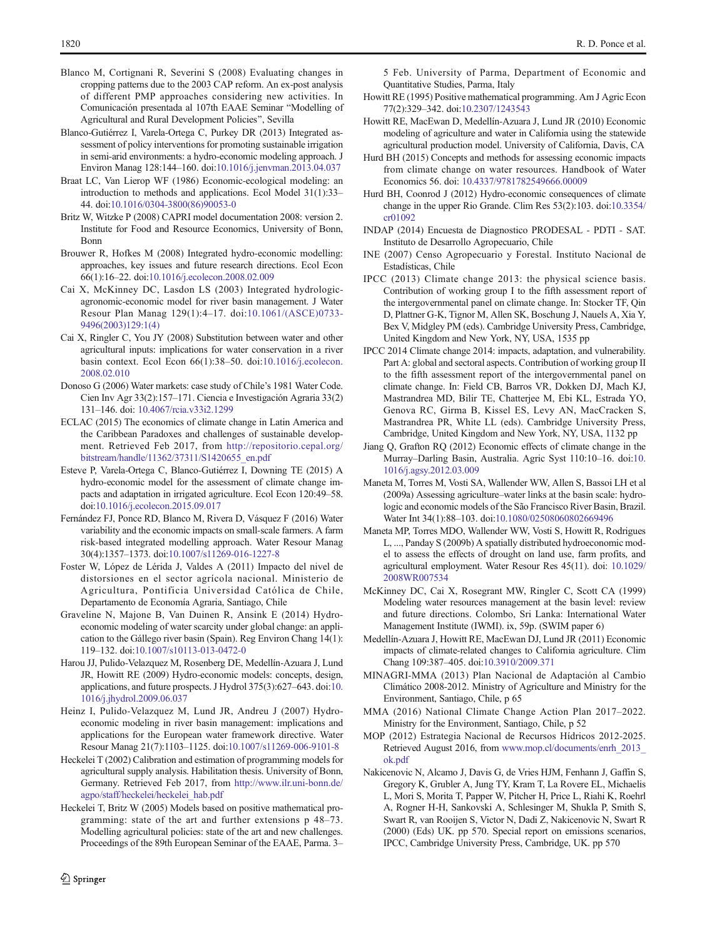- <span id="page-9-0"></span>Blanco M, Cortignani R, Severini S (2008) Evaluating changes in cropping patterns due to the 2003 CAP reform. An ex-post analysis of different PMP approaches considering new activities. In Comunicación presentada al 107th EAAE Seminar "Modelling of Agricultural and Rural Development Policies", Sevilla
- Blanco-Gutiérrez I, Varela-Ortega C, Purkey DR (2013) Integrated assessment of policy interventions for promoting sustainable irrigation in semi-arid environments: a hydro-economic modeling approach. J Environ Manag 128:144–160. doi[:10.1016/j.jenvman.2013.04.037](http://dx.doi.org/10.1016/j.jenvman.2013.04.037)
- Braat LC, Van Lierop WF (1986) Economic-ecological modeling: an introduction to methods and applications. Ecol Model 31(1):33– 44. doi[:10.1016/0304-3800\(86\)90053-0](http://dx.doi.org/10.1016/0304-3800(86)90053-0)
- Britz W, Witzke P (2008) CAPRI model documentation 2008: version 2. Institute for Food and Resource Economics, University of Bonn, Bonn
- Brouwer R, Hofkes M (2008) Integrated hydro-economic modelling: approaches, key issues and future research directions. Ecol Econ 66(1):16–22. doi[:10.1016/j.ecolecon.2008.02.009](http://dx.doi.org/10.1016/j.ecolecon.2008.02.009)
- Cai X, McKinney DC, Lasdon LS (2003) Integrated hydrologicagronomic-economic model for river basin management. J Water Resour Plan Manag 129(1):4–17. doi[:10.1061/\(ASCE\)0733-](http://dx.doi.org/10.1061/(ASCE)0733-9496(2003)129:1(4)) [9496\(2003\)129:1\(4\)](http://dx.doi.org/10.1061/(ASCE)0733-9496(2003)129:1(4))
- Cai X, Ringler C, You JY (2008) Substitution between water and other agricultural inputs: implications for water conservation in a river basin context. Ecol Econ 66(1):38–50. doi[:10.1016/j.ecolecon.](http://dx.doi.org/10.1016/j.ecolecon.2008.02.010) [2008.02.010](http://dx.doi.org/10.1016/j.ecolecon.2008.02.010)
- Donoso G (2006) Water markets: case study of Chile's 1981 Water Code. Cien Inv Agr 33(2):157–171. Ciencia e Investigación Agraria 33(2) 131–146. doi: [10.4067/rcia.v33i2.1299](http://dx.doi.org/10.4067/rcia.v33i2.1299)
- ECLAC (2015) The economics of climate change in Latin America and the Caribbean Paradoxes and challenges of sustainable development. Retrieved Feb 2017, from [http://repositorio.cepal.org/](http://repositorio.cepal.org/bitstream/handle/11362/37311/S1420655_en.pdf) [bitstream/handle/11362/37311/S1420655\\_en.pdf](http://repositorio.cepal.org/bitstream/handle/11362/37311/S1420655_en.pdf)
- Esteve P, Varela-Ortega C, Blanco-Gutiérrez I, Downing TE (2015) A hydro-economic model for the assessment of climate change impacts and adaptation in irrigated agriculture. Ecol Econ 120:49–58. doi:[10.1016/j.ecolecon.2015.09.017](http://dx.doi.org/10.1016/j.ecolecon.2015.09.017)
- Fernández FJ, Ponce RD, Blanco M, Rivera D, Vásquez F (2016) Water variability and the economic impacts on small-scale farmers. A farm risk-based integrated modelling approach. Water Resour Manag 30(4):1357–1373. doi[:10.1007/s11269-016-1227-8](http://dx.doi.org/10.1007/s11269-016-1227-8)
- Foster W, López de Lérida J, Valdes A (2011) Impacto del nivel de distorsiones en el sector agrícola nacional. Ministerio de Agricultura, Pontificia Universidad Católica de Chile, Departamento de Economía Agraria, Santiago, Chile
- Graveline N, Majone B, Van Duinen R, Ansink E (2014) Hydroeconomic modeling of water scarcity under global change: an application to the Gállego river basin (Spain). Reg Environ Chang 14(1): 119–132. doi:[10.1007/s10113-013-0472-0](http://dx.doi.org/10.1007/s10113-013-0472-0)
- Harou JJ, Pulido-Velazquez M, Rosenberg DE, Medellín-Azuara J, Lund JR, Howitt RE (2009) Hydro-economic models: concepts, design, applications, and future prospects. J Hydrol 375(3):627–643. doi:[10.](http://dx.doi.org/10.1016/j.jhydrol.2009.06.037) [1016/j.jhydrol.2009.06.037](http://dx.doi.org/10.1016/j.jhydrol.2009.06.037)
- Heinz I, Pulido-Velazquez M, Lund JR, Andreu J (2007) Hydroeconomic modeling in river basin management: implications and applications for the European water framework directive. Water Resour Manag 21(7):1103–1125. doi[:10.1007/s11269-006-9101-8](http://dx.doi.org/10.1007/s11269-006-9101-8)
- Heckelei T (2002) Calibration and estimation of programming models for agricultural supply analysis. Habilitation thesis. University of Bonn, Germany. Retrieved Feb 2017, from [http://www.ilr.uni-bonn.de/](http://www.ilr.uni-bonn.de/agpo/staff/heckelei/heckelei_hab.pdf) [agpo/staff/heckelei/heckelei\\_hab.pdf](http://www.ilr.uni-bonn.de/agpo/staff/heckelei/heckelei_hab.pdf)
- Heckelei T, Britz W (2005) Models based on positive mathematical programming: state of the art and further extensions p 48–73. Modelling agricultural policies: state of the art and new challenges. Proceedings of the 89th European Seminar of the EAAE, Parma. 3–

5 Feb. University of Parma, Department of Economic and Quantitative Studies, Parma, Italy

- Howitt RE (1995) Positive mathematical programming. Am J Agric Econ 77(2):329–342. doi:[10.2307/1243543](http://dx.doi.org/10.2307/1243543)
- Howitt RE, MacEwan D, Medellín-Azuara J, Lund JR (2010) Economic modeling of agriculture and water in California using the statewide agricultural production model. University of California, Davis, CA
- Hurd BH (2015) Concepts and methods for assessing economic impacts from climate change on water resources. Handbook of Water Economics 56. doi: [10.4337/9781782549666.00009](http://dx.doi.org/10.4337/9781782549666.00009)
- Hurd BH, Coonrod J (2012) Hydro-economic consequences of climate change in the upper Rio Grande. Clim Res 53(2):103. doi[:10.3354/](http://dx.doi.org/10.3354/cr01092) [cr01092](http://dx.doi.org/10.3354/cr01092)
- INDAP (2014) Encuesta de Diagnostico PRODESAL PDTI SAT. Instituto de Desarrollo Agropecuario, Chile
- INE (2007) Censo Agropecuario y Forestal. Instituto Nacional de Estadísticas, Chile
- IPCC (2013) Climate change 2013: the physical science basis. Contribution of working group I to the fifth assessment report of the intergovernmental panel on climate change. In: Stocker TF, Qin D, Plattner G-K, Tignor M, Allen SK, Boschung J, Nauels A, Xia Y, Bex V, Midgley PM (eds). Cambridge University Press, Cambridge, United Kingdom and New York, NY, USA, 1535 pp
- IPCC 2014 Climate change 2014: impacts, adaptation, and vulnerability. Part A: global and sectoral aspects. Contribution of working group II to the fifth assessment report of the intergovernmental panel on climate change. In: Field CB, Barros VR, Dokken DJ, Mach KJ, Mastrandrea MD, Bilir TE, Chatterjee M, Ebi KL, Estrada YO, Genova RC, Girma B, Kissel ES, Levy AN, MacCracken S, Mastrandrea PR, White LL (eds). Cambridge University Press, Cambridge, United Kingdom and New York, NY, USA, 1132 pp
- Jiang Q, Grafton RQ (2012) Economic effects of climate change in the Murray–Darling Basin, Australia. Agric Syst 110:10–16. doi:[10.](http://dx.doi.org/10.1016/j.agsy.2012.03.009) [1016/j.agsy.2012.03.009](http://dx.doi.org/10.1016/j.agsy.2012.03.009)
- Maneta M, Torres M, Vosti SA, Wallender WW, Allen S, Bassoi LH et al (2009a) Assessing agriculture–water links at the basin scale: hydrologic and economic models of the São Francisco River Basin, Brazil. Water Int 34(1):88–103. doi:[10.1080/02508060802669496](http://dx.doi.org/10.1080/02508060802669496)
- Maneta MP, Torres MDO, Wallender WW, Vosti S, Howitt R, Rodrigues L, ..., Panday S (2009b) A spatially distributed hydroeconomic model to assess the effects of drought on land use, farm profits, and agricultural employment. Water Resour Res 45(11). doi: [10.1029/](http://dx.doi.org/10.1029/2008WR007534) [2008WR007534](http://dx.doi.org/10.1029/2008WR007534)
- McKinney DC, Cai X, Rosegrant MW, Ringler C, Scott CA (1999) Modeling water resources management at the basin level: review and future directions. Colombo, Sri Lanka: International Water Management Institute (IWMI). ix, 59p. (SWIM paper 6)
- Medellín-Azuara J, Howitt RE, MacEwan DJ, Lund JR (2011) Economic impacts of climate-related changes to California agriculture. Clim Chang 109:387–405. doi[:10.3910/2009.371](http://dx.doi.org/10.3910/2009.371)
- MINAGRI-MMA (2013) Plan Nacional de Adaptación al Cambio Climático 2008-2012. Ministry of Agriculture and Ministry for the Environment, Santiago, Chile, p 65
- MMA (2016) National Climate Change Action Plan 2017–2022. Ministry for the Environment, Santiago, Chile, p 52
- MOP (2012) Estrategia Nacional de Recursos Hídricos 2012-2025. Retrieved August 2016, from [www.mop.cl/documents/enrh\\_2013\\_](www.mop.cl/documents/enrh_2013_ok.pdf) [ok.pdf](www.mop.cl/documents/enrh_2013_ok.pdf)
- Nakicenovic N, Alcamo J, Davis G, de Vries HJM, Fenhann J, Gaffin S, Gregory K, Grubler A, Jung TY, Kram T, La Rovere EL, Michaelis L, Mori S, Morita T, Papper W, Pitcher H, Price L, Riahi K, Roehrl A, Rogner H-H, Sankovski A, Schlesinger M, Shukla P, Smith S, Swart R, van Rooijen S, Victor N, Dadi Z, Nakicenovic N, Swart R (2000) (Eds) UK. pp 570. Special report on emissions scenarios, IPCC, Cambridge University Press, Cambridge, UK. pp 570